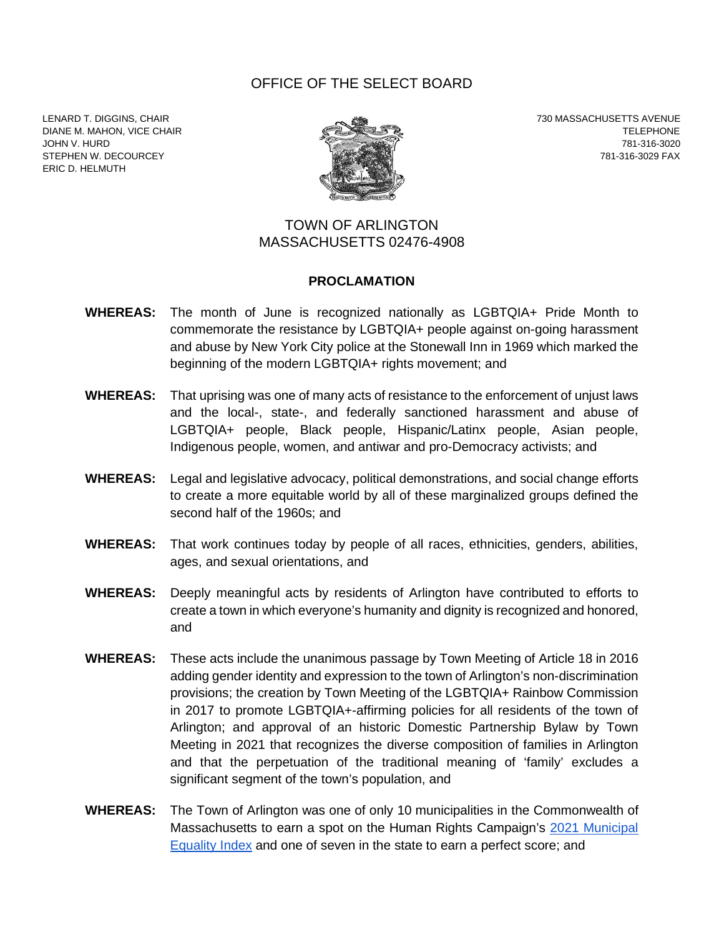## OFFICE OF THE SELECT BOARD

LENARD T. DIGGINS, CHAIR 730 MASSACHUSETTS AVENUE ERIC D. HELMUTH



DIANE M. MAHON, VICE CHAIR<br>JOHN V. HURD 781-316-3020 JOHN V. HURD 781-316-3020 STEPHEN W. DECOURCEY **1999 FAX 1999 FAX 1999 FAX 1999 FAX 1999 FAX 1999 FAX 1999 FAX** 

## TOWN OF ARLINGTON MASSACHUSETTS 02476-4908

## **PROCLAMATION**

- **WHEREAS:** The month of June is recognized nationally as LGBTQIA+ Pride Month to commemorate the resistance by LGBTQIA+ people against on-going harassment and abuse by New York City police at the Stonewall Inn in 1969 which marked the beginning of the modern LGBTQIA+ rights movement; and
- **WHEREAS:** That uprising was one of many acts of resistance to the enforcement of unjust laws and the local-, state-, and federally sanctioned harassment and abuse of LGBTQIA+ people, Black people, Hispanic/Latinx people, Asian people, Indigenous people, women, and antiwar and pro-Democracy activists; and
- **WHEREAS:** Legal and legislative advocacy, political demonstrations, and social change efforts to create a more equitable world by all of these marginalized groups defined the second half of the 1960s; and
- **WHEREAS:** That work continues today by people of all races, ethnicities, genders, abilities, ages, and sexual orientations, and
- **WHEREAS:** Deeply meaningful acts by residents of Arlington have contributed to efforts to create a town in which everyone's humanity and dignity is recognized and honored, and
- **WHEREAS:** These acts include the unanimous passage by Town Meeting of Article 18 in 2016 adding gender identity and expression to the town of Arlington's non-discrimination provisions; the creation by Town Meeting of the LGBTQIA+ Rainbow Commission in 2017 to promote LGBTQIA+-affirming policies for all residents of the town of Arlington; and approval of an historic Domestic Partnership Bylaw by Town Meeting in 2021 that recognizes the diverse composition of families in Arlington and that the perpetuation of the traditional meaning of 'family' excludes a significant segment of the town's population, and
- **WHEREAS:** The Town of Arlington was one of only 10 municipalities in the Commonwealth of Massachusetts to earn a spot on the Human Rights Campaign's [2](https://hrc-prod-requests.s3-us-west-2.amazonaws.com/MEI-2020-Final-2020.pdf?mtime=20201203083157&focal=none)021 [Municipal](https://reports.hrc.org/municipal-equality-index-2021?_ga=2.86495504.9058812.1653326778-172556416.1652894825)  [Equality Index](https://reports.hrc.org/municipal-equality-index-2021?_ga=2.86495504.9058812.1653326778-172556416.1652894825) and one of seven in the state to earn a perfect score; and